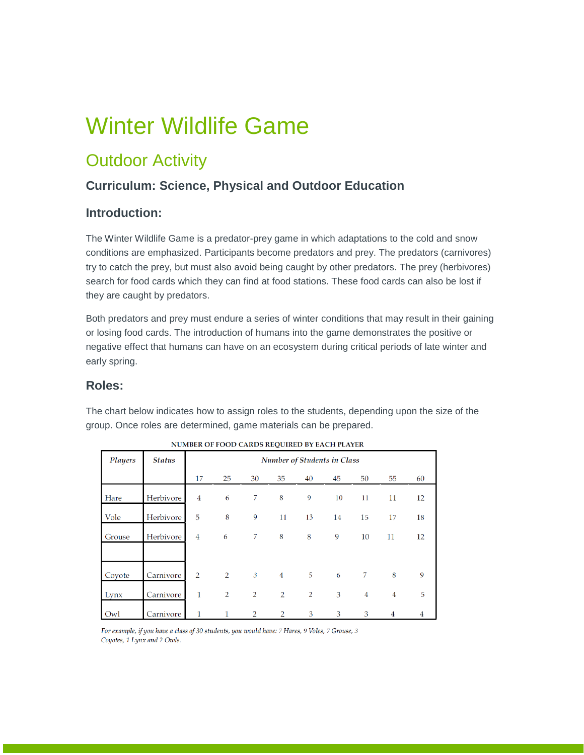# Winter Wildlife Game

## **Outdoor Activity**

### **Curriculum: Science, Physical and Outdoor Education**

#### **Introduction:**

The Winter Wildlife Game is a predator-prey game in which adaptations to the cold and snow conditions are emphasized. Participants become predators and prey. The predators (carnivores) try to catch the prey, but must also avoid being caught by other predators. The prey (herbivores) search for food cards which they can find at food stations. These food cards can also be lost if they are caught by predators.

Both predators and prey must endure a series of winter conditions that may result in their gaining or losing food cards. The introduction of humans into the game demonstrates the positive or negative effect that humans can have on an ecosystem during critical periods of late winter and early spring.

#### **Roles:**

The chart below indicates how to assign roles to the students, depending upon the size of the group. Once roles are determined, game materials can be prepared.

| Players | <b>Status</b> | <b>Number of Students in Class</b> |                |                |                |    |    |                |                |    |
|---------|---------------|------------------------------------|----------------|----------------|----------------|----|----|----------------|----------------|----|
|         |               | 17                                 | 25             | 30             | 35             | 40 | 45 | 50             | 55             | 60 |
| Hare    | Herbivore     | $\overline{4}$                     | 6              | 7              | 8              | 9  | 10 | 11             | 11             | 12 |
| Vole    | Herbivore     | 5                                  | 8              | 9              | 11             | 13 | 14 | 15             | 17             | 18 |
| Grouse  | Herbivore     | $\overline{4}$                     | 6              | 7              | 8              | 8  | 9  | 10             | 11             | 12 |
|         |               |                                    |                |                |                |    |    |                |                |    |
| Coyote  | Carnivore     | 2                                  | 2              | $\mathfrak{Z}$ | $\overline{4}$ | 5  | 6  | 7              | 8              | 9  |
| Lynx    | Carnivore     | $\mathbf{1}$                       | $\overline{2}$ | $\overline{2}$ | $\overline{2}$ | 2  | 3  | $\overline{4}$ | $\overline{4}$ | 5  |
| Owl     | Carnivore     | 1                                  | 1              | $\overline{2}$ | $\overline{2}$ | 3  | 3  | 3              | 4              | 4  |

NUMBER OF FOOD CARDS REQUIRED BY EACH PLAYER

For example, if you have a class of 30 students, you would have: 7 Hares, 9 Voles, 7 Grouse, 3 Coyotes, 1 Lynx and 2 Owls.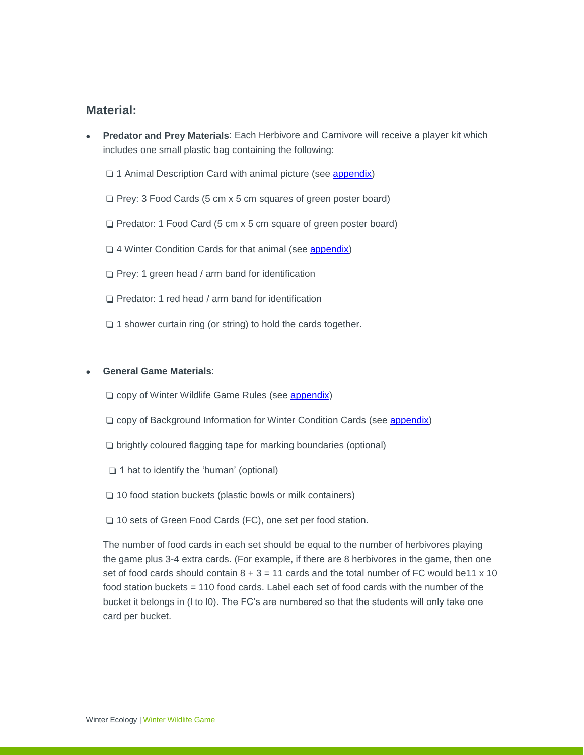#### **Material:**

 **Predator and Prey Materials**: Each Herbivore and Carnivore will receive a player kit which includes one small plastic bag containing the following:

❏ 1 Animal Description Card with animal picture (see [appendix\)](https://albertaparks.ca/media/6496605/winter-wildlife-game_appendix.pdf)

❏ Prey: 3 Food Cards (5 cm x 5 cm squares of green poster board)

❏ Predator: 1 Food Card (5 cm x 5 cm square of green poster board)

❏ 4 Winter Condition Cards for that animal (see [appendix\)](https://albertaparks.ca/media/6496605/winter-wildlife-game_appendix.pdf)

❏ Prey: 1 green head / arm band for identification

❏ Predator: 1 red head / arm band for identification

❏ 1 shower curtain ring (or string) to hold the cards together.

#### **General Game Materials**:

❏ copy of Winter Wildlife Game Rules (see [appendix\)](https://albertaparks.ca/media/6496605/winter-wildlife-game_appendix.pdf)

- ❏ copy of Background Information for Winter Condition Cards (see [appendix\)](https://albertaparks.ca/media/6496605/winter-wildlife-game_appendix.pdf)
- ❏ brightly coloured flagging tape for marking boundaries (optional)
- ❏ 1 hat to identify the 'human' (optional)
- ❏ 10 food station buckets (plastic bowls or milk containers)
- ❏ 10 sets of Green Food Cards (FC), one set per food station.

The number of food cards in each set should be equal to the number of herbivores playing the game plus 3-4 extra cards. (For example, if there are 8 herbivores in the game, then one set of food cards should contain  $8 + 3 = 11$  cards and the total number of FC would be11 x 10 food station buckets = 110 food cards. Label each set of food cards with the number of the bucket it belongs in (l to l0). The FC's are numbered so that the students will only take one card per bucket.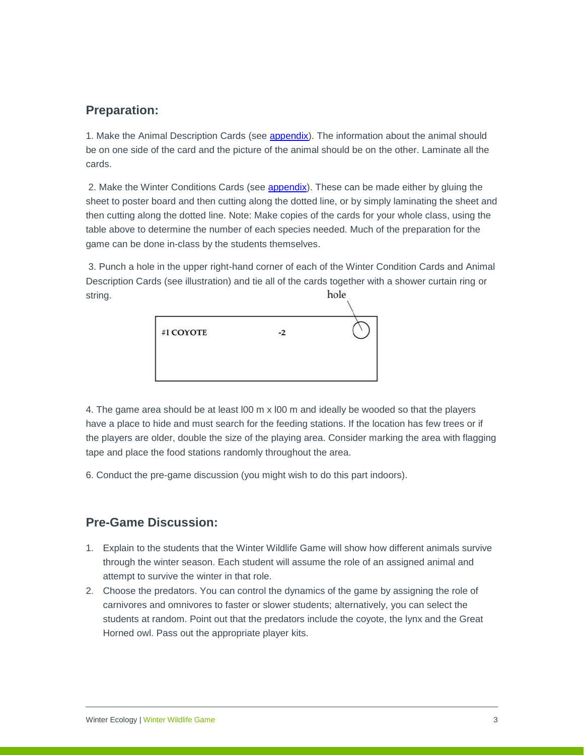#### **Preparation:**

1. Make the Animal Description Cards (see [appendix\)](https://albertaparks.ca/media/6496605/winter-wildlife-game_appendix.pdf). The information about the animal should be on one side of the card and the picture of the animal should be on the other. Laminate all the cards.

2. Make the Winter Conditions Cards (see [appendix\)](https://albertaparks.ca/media/6496605/winter-wildlife-game_appendix.pdf). These can be made either by gluing the sheet to poster board and then cutting along the dotted line, or by simply laminating the sheet and then cutting along the dotted line. Note: Make copies of the cards for your whole class, using the table above to determine the number of each species needed. Much of the preparation for the game can be done in-class by the students themselves.

3. Punch a hole in the upper right-hand corner of each of the Winter Condition Cards and Animal Description Cards (see illustration) and tie all of the cards together with a shower curtain ring or hole string.

| #1 COYOTE | $-2$ |  |
|-----------|------|--|
|           |      |  |
|           |      |  |

4. The game area should be at least l00 m x l00 m and ideally be wooded so that the players have a place to hide and must search for the feeding stations. If the location has few trees or if the players are older, double the size of the playing area. Consider marking the area with flagging tape and place the food stations randomly throughout the area.

6. Conduct the pre-game discussion (you might wish to do this part indoors).

### **Pre-Game Discussion:**

- 1. Explain to the students that the Winter Wildlife Game will show how different animals survive through the winter season. Each student will assume the role of an assigned animal and attempt to survive the winter in that role.
- 2. Choose the predators. You can control the dynamics of the game by assigning the role of carnivores and omnivores to faster or slower students; alternatively, you can select the students at random. Point out that the predators include the coyote, the lynx and the Great Horned owl. Pass out the appropriate player kits.